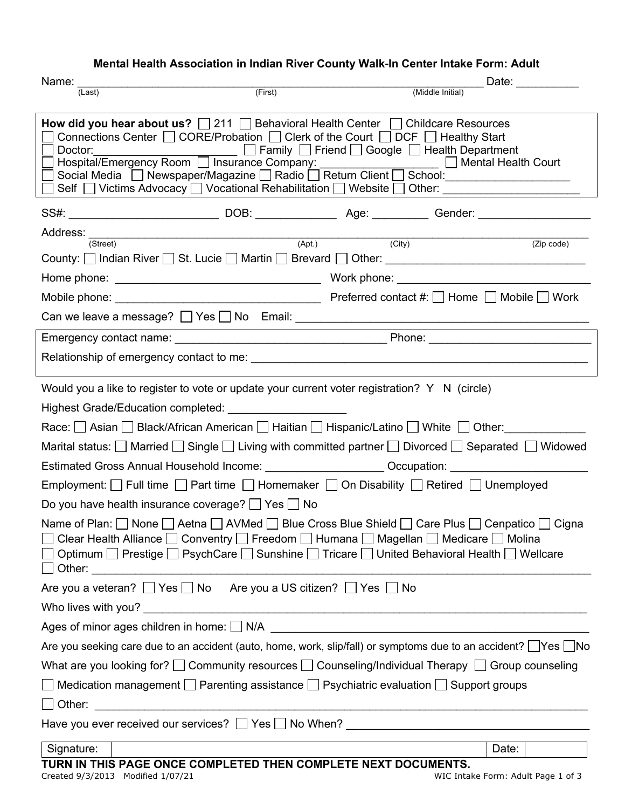## **Mental Health Association in Indian River County Walk-In Center Intake Form: Adult**

| Name:                                                                                                                                                                                                                                                                                                                                                                                                                                                                                                                                                                                                                |         |  | Date: ________                                                                                       |  |
|----------------------------------------------------------------------------------------------------------------------------------------------------------------------------------------------------------------------------------------------------------------------------------------------------------------------------------------------------------------------------------------------------------------------------------------------------------------------------------------------------------------------------------------------------------------------------------------------------------------------|---------|--|------------------------------------------------------------------------------------------------------|--|
| (Last)                                                                                                                                                                                                                                                                                                                                                                                                                                                                                                                                                                                                               | (First) |  | (Middle Initial)                                                                                     |  |
| <b>How did you hear about us?</b> $\Box$ 211 $\Box$ Behavioral Health Center $\Box$ Childcare Resources<br>Connections Center $\Box$ CORE/Probation $\Box$ Clerk of the Court $\Box$ DCF $\Box$ Healthy Start<br>_____________________ □ Family □ Friend □ Google □ Health Department<br>Doctor:<br>Hospital/Emergency Room   Insurance Company:<br>Social Media □ Newspaper/Magazine □ Radio □ Return Client □ School: ____________<br>Self $\Box$ Victims Advocacy $\Box$ Vocational Rehabilitation $\Box$ Website $\Box$ Other: _______________________                                                           |         |  |                                                                                                      |  |
|                                                                                                                                                                                                                                                                                                                                                                                                                                                                                                                                                                                                                      |         |  | SS#: _________________________________DOB: _____________________________Gender: ____________________ |  |
| Address: (Street) (Apt.) (City)                                                                                                                                                                                                                                                                                                                                                                                                                                                                                                                                                                                      |         |  |                                                                                                      |  |
|                                                                                                                                                                                                                                                                                                                                                                                                                                                                                                                                                                                                                      |         |  | (Zip code)                                                                                           |  |
|                                                                                                                                                                                                                                                                                                                                                                                                                                                                                                                                                                                                                      |         |  |                                                                                                      |  |
|                                                                                                                                                                                                                                                                                                                                                                                                                                                                                                                                                                                                                      |         |  |                                                                                                      |  |
|                                                                                                                                                                                                                                                                                                                                                                                                                                                                                                                                                                                                                      |         |  |                                                                                                      |  |
|                                                                                                                                                                                                                                                                                                                                                                                                                                                                                                                                                                                                                      |         |  |                                                                                                      |  |
|                                                                                                                                                                                                                                                                                                                                                                                                                                                                                                                                                                                                                      |         |  |                                                                                                      |  |
| Race: Sasian Sack/African American Saltian Saltian Superic/Latino Superity Other:<br>Marital status: $\Box$ Married $\Box$ Single $\Box$ Living with committed partner $\Box$ Divorced $\Box$ Separated $\Box$ Widowed<br>Estimated Gross Annual Household Income: _______________________Occupation: ________________________<br>Employment: $\Box$ Full time $\Box$ Part time $\Box$ Homemaker $\Box$ On Disability $\Box$ Retired $\Box$ Unemployed<br>Do you have health insurance coverage? $\Box$ Yes $\Box$ No<br>Name of Plan: None   Aetna   AVMed   Blue Cross Blue Shield   Care Plus   Cenpatico   Cigna |         |  |                                                                                                      |  |
| Optimum   Prestige   PsychCare   Sunshine   Tricare   United Behavioral Health   Wellcare                                                                                                                                                                                                                                                                                                                                                                                                                                                                                                                            |         |  |                                                                                                      |  |
| Are you a veteran? Ves No Are you a US citizen? Yes No                                                                                                                                                                                                                                                                                                                                                                                                                                                                                                                                                               |         |  |                                                                                                      |  |
|                                                                                                                                                                                                                                                                                                                                                                                                                                                                                                                                                                                                                      |         |  |                                                                                                      |  |
|                                                                                                                                                                                                                                                                                                                                                                                                                                                                                                                                                                                                                      |         |  |                                                                                                      |  |
| Are you seeking care due to an accident (auto, home, work, slip/fall) or symptoms due to an accident? Nes No                                                                                                                                                                                                                                                                                                                                                                                                                                                                                                         |         |  |                                                                                                      |  |
| What are you looking for? $\Box$ Community resources $\Box$ Counseling/Individual Therapy $\Box$ Group counseling                                                                                                                                                                                                                                                                                                                                                                                                                                                                                                    |         |  |                                                                                                      |  |
| Medication management $\Box$ Parenting assistance $\Box$ Psychiatric evaluation $\Box$ Support groups                                                                                                                                                                                                                                                                                                                                                                                                                                                                                                                |         |  |                                                                                                      |  |
|                                                                                                                                                                                                                                                                                                                                                                                                                                                                                                                                                                                                                      |         |  |                                                                                                      |  |
|                                                                                                                                                                                                                                                                                                                                                                                                                                                                                                                                                                                                                      |         |  |                                                                                                      |  |
| Signature:                                                                                                                                                                                                                                                                                                                                                                                                                                                                                                                                                                                                           |         |  | Date:                                                                                                |  |
| TURN IN THIS PAGE ONCE COMPLETED THEN COMPLETE NEXT DOCUMENTS.<br>Created 9/3/2013 Modified 1/07/21                                                                                                                                                                                                                                                                                                                                                                                                                                                                                                                  |         |  | WIC Intake Form: Adult Page 1 of 3                                                                   |  |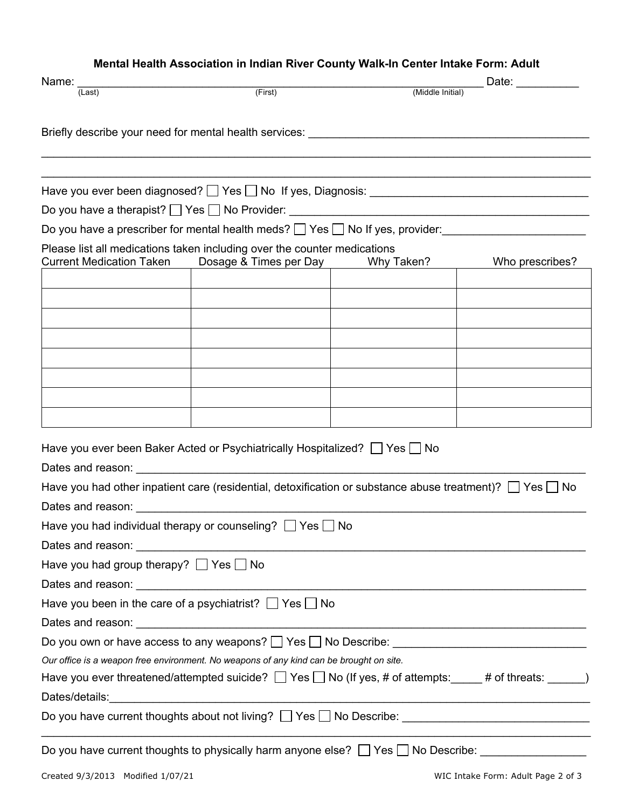## **Mental Health Association in Indian River County Walk-In Center Intake Form: Adult**

| Name: _                                          |                                                                                                                                                                                                                                |                  | Date: $\frac{1}{\sqrt{1-\frac{1}{2}}\cdot\frac{1}{2}}$ |
|--------------------------------------------------|--------------------------------------------------------------------------------------------------------------------------------------------------------------------------------------------------------------------------------|------------------|--------------------------------------------------------|
| $\overline{$ (Last)                              | (First)                                                                                                                                                                                                                        | (Middle Initial) |                                                        |
|                                                  | Briefly describe your need for mental health services: _________________________                                                                                                                                               |                  |                                                        |
|                                                  |                                                                                                                                                                                                                                |                  |                                                        |
|                                                  |                                                                                                                                                                                                                                |                  |                                                        |
|                                                  |                                                                                                                                                                                                                                |                  |                                                        |
|                                                  |                                                                                                                                                                                                                                |                  |                                                        |
|                                                  | Do you have a prescriber for mental health meds? $\Box$ Yes $\Box$ No If yes, provider:                                                                                                                                        |                  |                                                        |
|                                                  | Please list all medications taken including over the counter medications                                                                                                                                                       |                  |                                                        |
| <b>Current Medication Taken</b>                  | Dosage & Times per Day                                                                                                                                                                                                         | Why Taken?       | Who prescribes?                                        |
|                                                  |                                                                                                                                                                                                                                |                  |                                                        |
|                                                  |                                                                                                                                                                                                                                |                  |                                                        |
|                                                  |                                                                                                                                                                                                                                |                  |                                                        |
|                                                  |                                                                                                                                                                                                                                |                  |                                                        |
|                                                  |                                                                                                                                                                                                                                |                  |                                                        |
|                                                  |                                                                                                                                                                                                                                |                  |                                                        |
|                                                  |                                                                                                                                                                                                                                |                  |                                                        |
|                                                  |                                                                                                                                                                                                                                |                  |                                                        |
|                                                  | Have you ever been Baker Acted or Psychiatrically Hospitalized? $\Box$ Yes $\Box$ No                                                                                                                                           |                  |                                                        |
|                                                  |                                                                                                                                                                                                                                |                  |                                                        |
|                                                  | Have you had other inpatient care (residential, detoxification or substance abuse treatment)? $\Box$ Yes $\Box$ No                                                                                                             |                  |                                                        |
|                                                  |                                                                                                                                                                                                                                |                  |                                                        |
|                                                  | Have you had individual therapy or counseling? $\Box$ Yes $\Box$ No                                                                                                                                                            |                  |                                                        |
|                                                  |                                                                                                                                                                                                                                |                  |                                                        |
| Have you had group therapy? $\Box$ Yes $\Box$ No |                                                                                                                                                                                                                                |                  |                                                        |
|                                                  |                                                                                                                                                                                                                                |                  |                                                        |
|                                                  | Have you been in the care of a psychiatrist? $\Box$ Yes $\Box$ No                                                                                                                                                              |                  |                                                        |
|                                                  |                                                                                                                                                                                                                                |                  |                                                        |
|                                                  |                                                                                                                                                                                                                                |                  |                                                        |
|                                                  | Our office is a weapon free environment. No weapons of any kind can be brought on site.                                                                                                                                        |                  |                                                        |
|                                                  | Have you ever threatened/attempted suicide? $\Box$ Yes $\Box$ No (If yes, # of attempts: $\Box$ # of threats: $\Box$ )                                                                                                         |                  |                                                        |
|                                                  | Dates/details: Later and Contract and Contract and Contract and Contract and Contract and Contract and Contract and Contract and Contract and Contract and Contract and Contract and Contract and Contract and Contract and Co |                  |                                                        |
|                                                  | Do you have current thoughts about not living? The Samuel No Describe: The Samuel Community of the United States                                                                                                               |                  |                                                        |
|                                                  |                                                                                                                                                                                                                                |                  |                                                        |
| Created 9/3/2013 Modified 1/07/21                |                                                                                                                                                                                                                                |                  | WIC Intake Form: Adult Page 2 of 3                     |